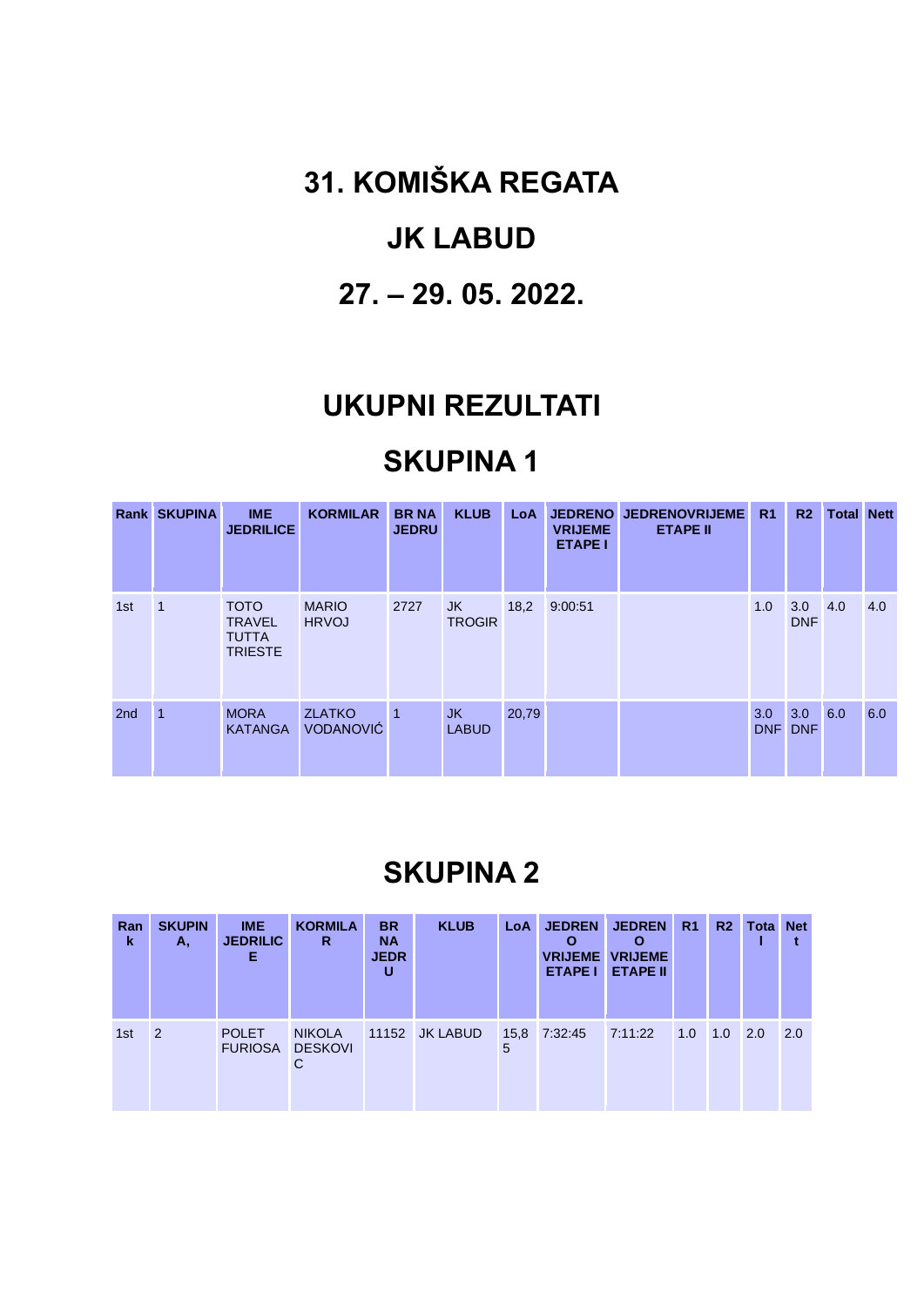**31. KOMIŠKA REGATA**

#### **JK LABUD**

#### **27. – 29. 05. 2022.**

#### **UKUPNI REZULTATI**

# **SKUPINA 1**

|     | <b>Rank SKUPINA</b> | <b>IME</b><br><b>JEDRILICE</b>                                 | <b>KORMILAR</b>                   | <b>BR NA</b><br><b>JEDRU</b> | <b>KLUB</b>               | <b>LoA</b> | <b>VRIJEME</b><br><b>ETAPE I</b> | JEDRENO JEDRENOVRIJEME<br><b>ETAPE II</b> | R <sub>1</sub>    | R <sub>2</sub>    | <b>Total Nett</b> |     |
|-----|---------------------|----------------------------------------------------------------|-----------------------------------|------------------------------|---------------------------|------------|----------------------------------|-------------------------------------------|-------------------|-------------------|-------------------|-----|
| 1st | $\overline{1}$      | <b>TOTO</b><br><b>TRAVEL</b><br><b>TUTTA</b><br><b>TRIESTE</b> | <b>MARIO</b><br><b>HRVOJ</b>      | 2727                         | JK<br><b>TROGIR</b>       | 18,2       | 9:00:51                          |                                           | 1.0               | 3.0<br><b>DNF</b> | 4.0               | 4.0 |
| 2nd |                     | <b>MORA</b><br><b>KATANGA</b>                                  | <b>ZLATKO</b><br><b>VODANOVIĆ</b> | $\blacksquare$ 1             | <b>JK</b><br><b>LABUD</b> | 20,79      |                                  |                                           | 3.0<br><b>DNF</b> | 3.0<br><b>DNF</b> | 6.0               | 6.0 |

| Ran<br>k | <b>SKUPIN</b><br>А. | IME.<br><b>JEDRILIC</b><br>Е   | <b>KORMILA</b><br>R                  | <b>BR</b><br><b>NA</b><br><b>JEDR</b><br>U | <b>KLUB</b>     | LoA | <b>JEDREN</b><br><b>ETAPE I</b> | <b>JEDREN</b><br>Ο<br><b>VRIJEME VRIJEME</b><br><b>ETAPE II</b> | R <sub>1</sub> | R <sub>2</sub> | Tota | <b>Net</b> |
|----------|---------------------|--------------------------------|--------------------------------------|--------------------------------------------|-----------------|-----|---------------------------------|-----------------------------------------------------------------|----------------|----------------|------|------------|
| 1st      | 2                   | <b>POLET</b><br><b>FURIOSA</b> | <b>NIKOLA</b><br><b>DESKOVI</b><br>С | 11152                                      | <b>JK LABUD</b> | 5   | 15,8 7:32:45                    | 7:11:22                                                         | 1.0            | $1.0$ 2.0      |      | 2.0        |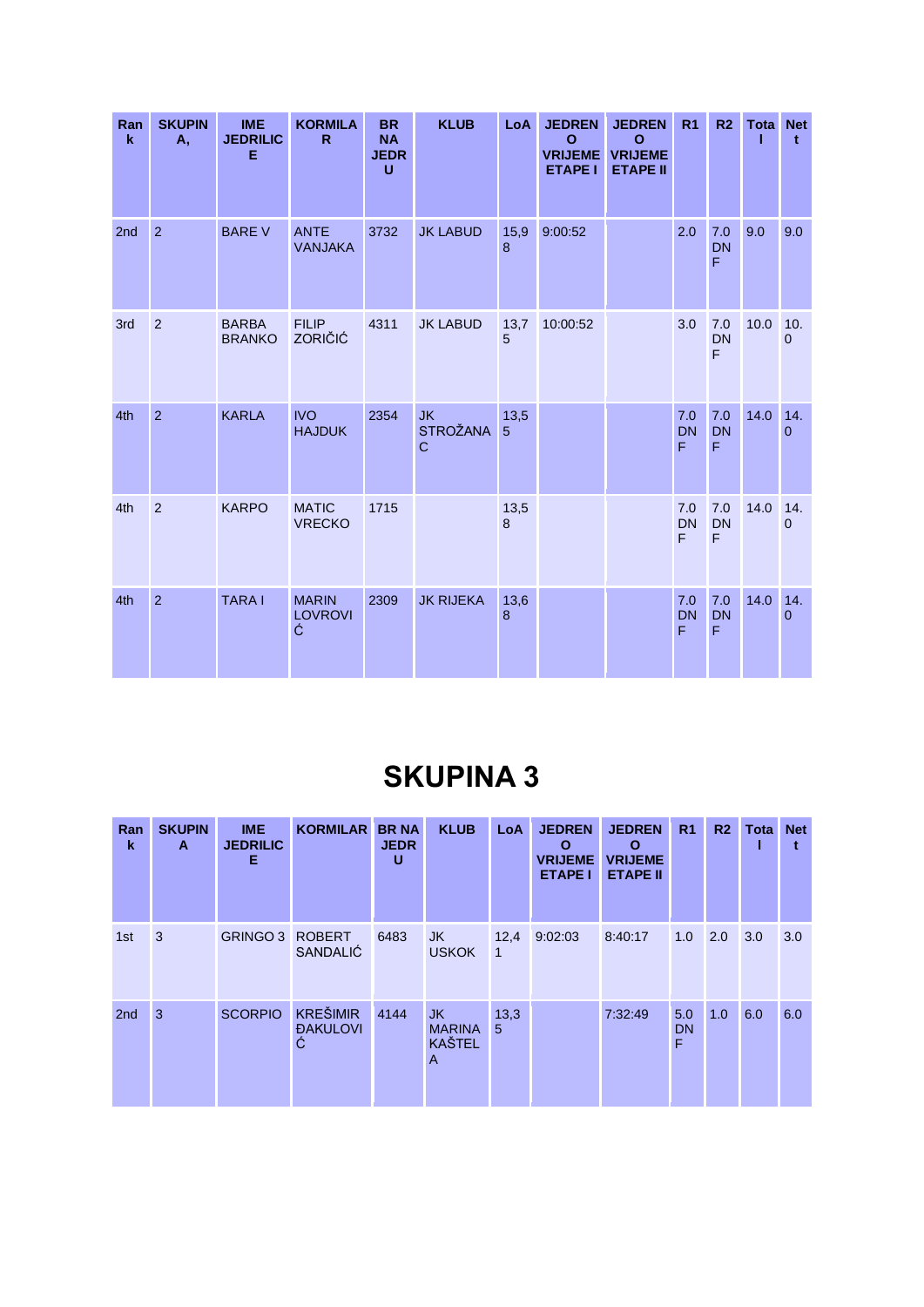| Ran<br>$\mathbf k$ | <b>SKUPIN</b><br><b>A</b> , | <b>IME</b><br><b>JEDRILIC</b><br>Е | <b>KORMILA</b><br>$\mathsf{R}$      | <b>BR</b><br><b>NA</b><br><b>JEDR</b><br>U | <b>KLUB</b>                                 | LoA       | <b>JEDREN</b><br>$\mathbf{o}$<br><b>VRIJEME</b><br><b>ETAPE I</b> | <b>JEDREN</b><br>$\mathbf{o}$<br><b>VRIJEME</b><br><b>ETAPE II</b> | R <sub>1</sub>        | R <sub>2</sub>                  | <b>Tota Net</b> | t                     |
|--------------------|-----------------------------|------------------------------------|-------------------------------------|--------------------------------------------|---------------------------------------------|-----------|-------------------------------------------------------------------|--------------------------------------------------------------------|-----------------------|---------------------------------|-----------------|-----------------------|
| 2nd                | $\overline{2}$              | <b>BARE V</b>                      | <b>ANTE</b><br><b>VANJAKA</b>       | 3732                                       | <b>JK LABUD</b>                             | 15,9<br>8 | 9:00:52                                                           |                                                                    | 2.0                   | 7.0<br><b>DN</b><br>F           | 9.0             | 9.0                   |
| 3rd                | $\overline{2}$              | <b>BARBA</b><br><b>BRANKO</b>      | <b>FILIP</b><br><b>ZORIČIĆ</b>      | 4311                                       | <b>JK LABUD</b>                             | 13,7<br>5 | 10:00:52                                                          |                                                                    | 3.0                   | 7.0<br><b>DN</b><br>F           | 10.0            | 10.<br>$\mathbf{0}$   |
| 4th                | $\overline{2}$              | <b>KARLA</b>                       | <b>IVO</b><br><b>HAJDUK</b>         | 2354                                       | <b>JK</b><br><b>STROŽANA</b><br>$\mathbf C$ | 13,5<br>5 |                                                                   |                                                                    | 7.0<br><b>DN</b><br>F | 7.0<br><b>DN</b><br>F           | 14.0            | 14.<br>$\Omega$       |
| 4th                | $\overline{2}$              | <b>KARPO</b>                       | <b>MATIC</b><br><b>VRECKO</b>       | 1715                                       |                                             | 13,5<br>8 |                                                                   |                                                                    | 7.0<br><b>DN</b><br>F | 7.0<br><b>DN</b><br>F           | 14.0            | 14.<br>$\mathbf 0$    |
| 4th                | $\overline{2}$              | <b>TARAI</b>                       | <b>MARIN</b><br><b>LOVROVI</b><br>Ć | 2309                                       | <b>JK RIJEKA</b>                            | 13,6<br>8 |                                                                   |                                                                    | 7.0<br><b>DN</b><br>F | 7.0<br><b>DN</b><br>$\mathsf F$ | 14.0            | 14.<br>$\overline{0}$ |

| Ran<br>k        | <b>SKUPIN</b><br>A | <b>IME</b><br><b>JEDRILIC</b><br>Е | <b>KORMILAR</b>                                | <b>BR NA</b><br><b>JEDR</b><br>U | <b>KLUB</b>                                      | LoA       | <b>JEDREN</b><br>O<br><b>VRIJEME</b><br><b>ETAPE I</b> | <b>JEDREN</b><br>$\mathbf{o}$<br><b>VRIJEME</b><br><b>ETAPE II</b> | R <sub>1</sub>        | R <sub>2</sub> | Tota | <b>Net</b> |
|-----------------|--------------------|------------------------------------|------------------------------------------------|----------------------------------|--------------------------------------------------|-----------|--------------------------------------------------------|--------------------------------------------------------------------|-----------------------|----------------|------|------------|
| 1st             | 3                  | <b>GRINGO 3</b>                    | <b>ROBERT</b><br><b>SANDALIĆ</b>               | 6483                             | JK.<br><b>USKOK</b>                              | 12,4<br>1 | 9:02:03                                                | 8:40:17                                                            | 1.0                   | 2.0            | 3.0  | 3.0        |
| 2 <sub>nd</sub> | 3                  | <b>SCORPIO</b>                     | <b>KREŠIMIR</b><br><b><i>DAKULOVI</i></b><br>Ć | 4144                             | <b>JK</b><br><b>MARINA</b><br><b>KAŠTEL</b><br>A | 13,3<br>5 |                                                        | 7:32:49                                                            | 5.0<br><b>DN</b><br>F | 1.0            | 6.0  | 6.0        |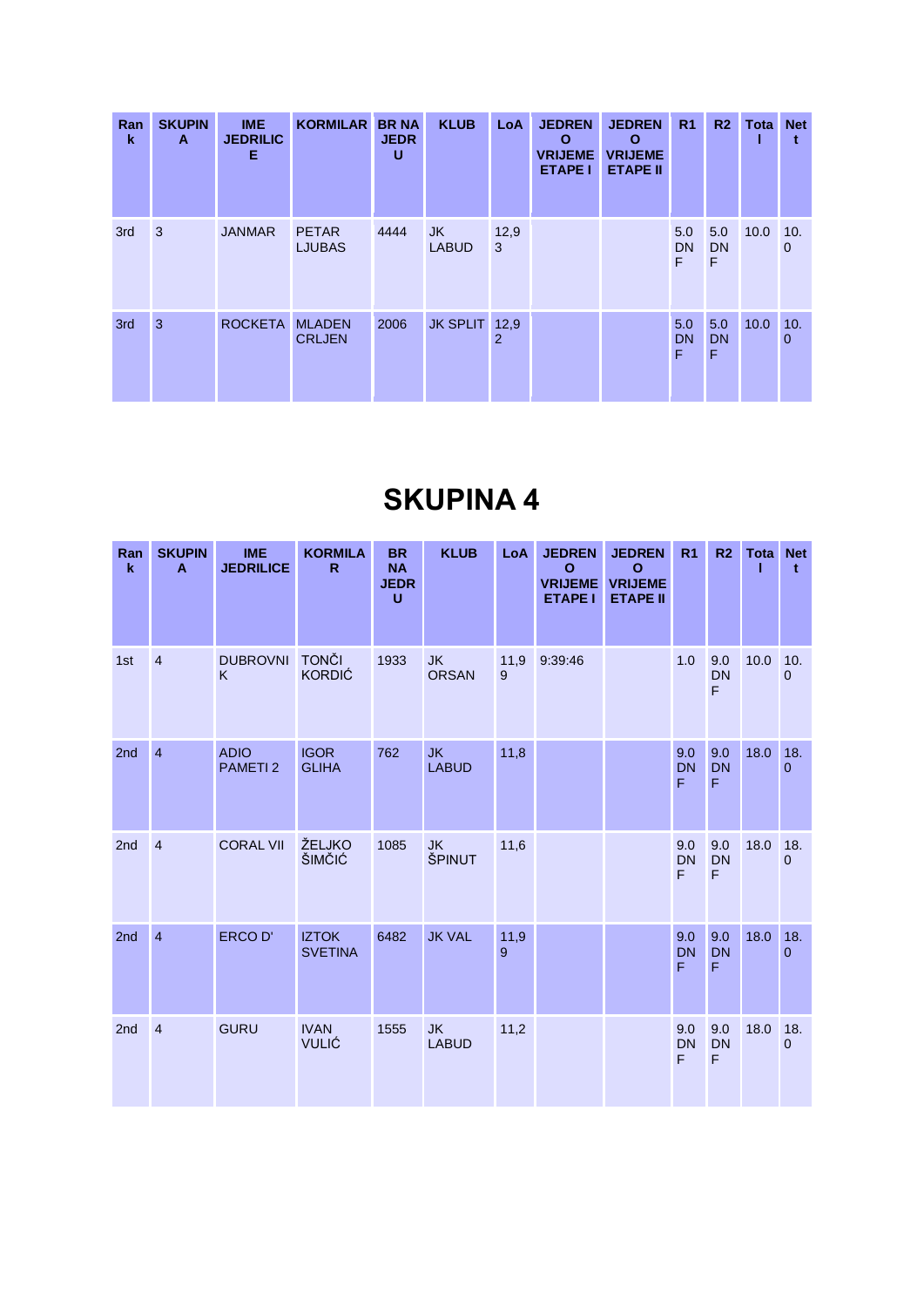| Ran<br>k | <b>SKUPIN</b><br>A | <b>IME</b><br><b>JEDRILIC</b><br>Е | <b>KORMILAR</b>                | <b>BR NA</b><br><b>JEDR</b><br>U | <b>KLUB</b>               | LoA       | <b>JEDREN</b><br>O<br><b>VRIJEME</b><br><b>ETAPE I</b> | <b>JEDREN</b><br>$\mathbf{o}$<br><b>VRIJEME</b><br><b>ETAPE II</b> | R <sub>1</sub>        | R <sub>2</sub>        | Tota | <b>Net</b>          |
|----------|--------------------|------------------------------------|--------------------------------|----------------------------------|---------------------------|-----------|--------------------------------------------------------|--------------------------------------------------------------------|-----------------------|-----------------------|------|---------------------|
| 3rd      | 3                  | <b>JANMAR</b>                      | <b>PETAR</b><br><b>LJUBAS</b>  | 4444                             | <b>JK</b><br><b>LABUD</b> | 12,9<br>3 |                                                        |                                                                    | 5.0<br><b>DN</b><br>F | 5.0<br>DN<br>F        | 10.0 | 10.<br>$\mathbf 0$  |
| 3rd      | 3                  | <b>ROCKETA</b>                     | <b>MLADEN</b><br><b>CRLJEN</b> | 2006                             | <b>JK SPLIT</b> 12,9      | 2         |                                                        |                                                                    | 5.0<br><b>DN</b><br>F | 5.0<br><b>DN</b><br>F | 10.0 | 10.<br>$\mathbf{0}$ |

| Ran<br>$\mathbf k$ | <b>SKUPIN</b><br>A | <b>IME</b><br><b>JEDRILICE</b> | <b>KORMILA</b><br>$\mathsf{R}$ | <b>BR</b><br><b>NA</b><br><b>JEDR</b><br>Ü | <b>KLUB</b>               | LoA       | <b>JEDREN</b><br>O<br><b>VRIJEME</b><br><b>ETAPE I</b> | <b>JEDREN</b><br>$\mathbf{o}$<br><b>VRIJEME</b><br><b>ETAPE II</b> | R <sub>1</sub>        | R <sub>2</sub>        | Tota | <b>Net</b><br>$\mathbf t$ |
|--------------------|--------------------|--------------------------------|--------------------------------|--------------------------------------------|---------------------------|-----------|--------------------------------------------------------|--------------------------------------------------------------------|-----------------------|-----------------------|------|---------------------------|
| 1st                | $\overline{4}$     | <b>DUBROVNI</b><br>K           | <b>TONČI</b><br><b>KORDIĆ</b>  | 1933                                       | <b>JK</b><br><b>ORSAN</b> | 11,9<br>9 | 9:39:46                                                |                                                                    | 1.0                   | 9.0<br><b>DN</b><br>F | 10.0 | 10.<br>0                  |
| 2nd                | $\overline{4}$     | <b>ADIO</b><br><b>PAMETI2</b>  | <b>IGOR</b><br><b>GLIHA</b>    | 762                                        | <b>JK</b><br><b>LABUD</b> | 11,8      |                                                        |                                                                    | 9.0<br><b>DN</b><br>F | 9.0<br><b>DN</b><br>F | 18.0 | 18.<br>$\mathbf{0}$       |
| 2nd                | $\overline{4}$     | <b>CORAL VII</b>               | ŽELJKO<br>ŠIMČIĆ               | 1085                                       | <b>JK</b><br>ŠPINUT       | 11,6      |                                                        |                                                                    | 9.0<br><b>DN</b><br>F | 9.0<br><b>DN</b><br>F | 18.0 | 18.<br>$\overline{0}$     |
| 2nd                | $\overline{4}$     | ERCO D'                        | <b>IZTOK</b><br><b>SVETINA</b> | 6482                                       | <b>JK VAL</b>             | 11,9<br>9 |                                                        |                                                                    | 9.0<br><b>DN</b><br>F | 9.0<br><b>DN</b><br>F | 18.0 | 18.<br>$\overline{0}$     |
| 2nd                | $\overline{4}$     | <b>GURU</b>                    | <b>IVAN</b><br><b>VULIĆ</b>    | 1555                                       | <b>JK</b><br><b>LABUD</b> | 11,2      |                                                        |                                                                    | 9.0<br><b>DN</b><br>F | 9.0<br><b>DN</b><br>F | 18.0 | 18.<br>$\overline{0}$     |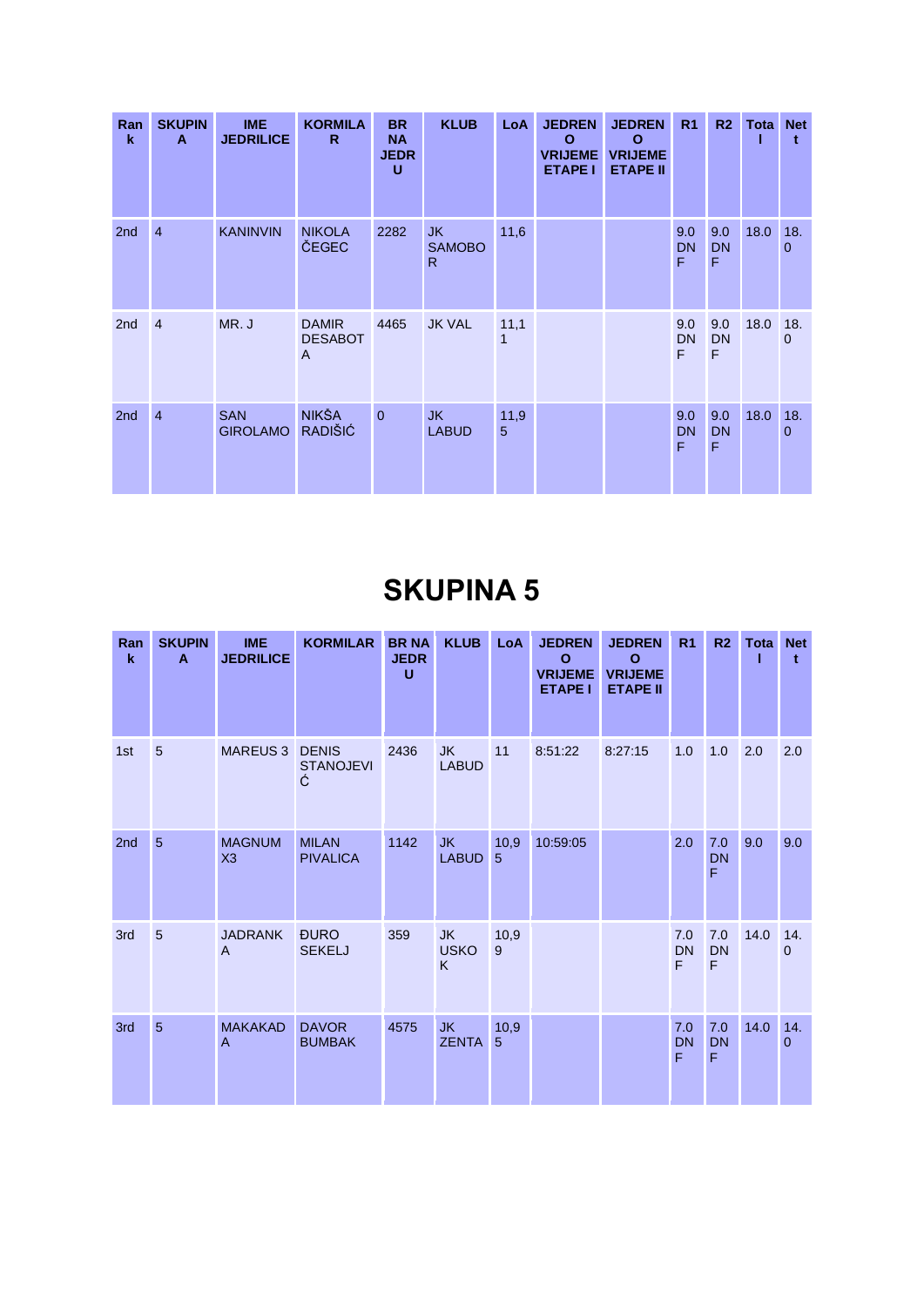| Ran<br>$\mathbf k$ | <b>SKUPIN</b><br>A | <b>IME</b><br><b>JEDRILICE</b> | <b>KORMILA</b><br>R.                             | <b>BR</b><br><b>NA</b><br><b>JEDR</b><br>U | <b>KLUB</b>                          | <b>LoA</b> | <b>JEDREN</b><br>O<br><b>VRIJEME</b><br><b>ETAPE I</b> | <b>JEDREN</b><br>O<br><b>VRIJEME</b><br><b>ETAPE II</b> | R <sub>1</sub>        | R2                    | <b>Tota Net</b> |                 |
|--------------------|--------------------|--------------------------------|--------------------------------------------------|--------------------------------------------|--------------------------------------|------------|--------------------------------------------------------|---------------------------------------------------------|-----------------------|-----------------------|-----------------|-----------------|
| 2nd                | $\overline{4}$     | <b>KANINVIN</b>                | <b>NIKOLA</b><br>ČEGEC                           | 2282                                       | JK.<br><b>SAMOBO</b><br>$\mathsf{R}$ | 11,6       |                                                        |                                                         | 9.0<br><b>DN</b><br>F | 9.0<br><b>DN</b><br>F | 18.0            | 18.<br>$\Omega$ |
| 2 <sub>nd</sub>    | $\overline{4}$     | MR.J                           | <b>DAMIR</b><br><b>DESABOT</b><br>$\overline{A}$ | 4465                                       | <b>JK VAL</b>                        | 11,1<br>1  |                                                        |                                                         | 9.0<br><b>DN</b><br>F | 9.0<br><b>DN</b><br>F | 18.0            | 18.<br>$\Omega$ |
| 2nd                | $\overline{4}$     | <b>SAN</b><br><b>GIROLAMO</b>  | <b>NIKŠA</b><br><b>RADIŠIĆ</b>                   | $\overline{0}$                             | <b>JK</b><br><b>LABUD</b>            | 11,9<br>5  |                                                        |                                                         | 9.0<br><b>DN</b><br>F | 9.0<br><b>DN</b><br>F | 18.0            | 18.<br>$\Omega$ |

| Ran<br>$\mathbf k$ | <b>SKUPIN</b><br>A | <b>IME</b><br><b>JEDRILICE</b> | <b>KORMILAR</b>                       | <b>BRNA</b><br><b>JEDR</b><br>$\mathbf{U}$ | <b>KLUB</b>                   | LoA       | <b>JEDREN</b><br>$\mathbf{o}$<br><b>VRIJEME</b><br><b>ETAPE I</b> | <b>JEDREN</b><br>$\mathbf{o}$<br><b>VRIJEME</b><br><b>ETAPE II</b> | R <sub>1</sub>        | R <sub>2</sub>        | Tota | <b>Net</b><br>$\mathbf t$ |
|--------------------|--------------------|--------------------------------|---------------------------------------|--------------------------------------------|-------------------------------|-----------|-------------------------------------------------------------------|--------------------------------------------------------------------|-----------------------|-----------------------|------|---------------------------|
| 1st                | 5                  | <b>MAREUS 3</b>                | <b>DENIS</b><br><b>STANOJEVI</b><br>Ć | 2436                                       | <b>JK</b><br><b>LABUD</b>     | 11        | 8:51:22                                                           | 8:27:15                                                            | 1.0                   | 1.0                   | 2.0  | 2.0                       |
| 2nd                | 5                  | <b>MAGNUM</b><br>X3            | <b>MILAN</b><br><b>PIVALICA</b>       | 1142                                       | JK.<br><b>LABUD</b>           | 10,9<br>5 | 10:59:05                                                          |                                                                    | 2.0                   | 7.0<br><b>DN</b><br>F | 9.0  | 9.0                       |
| 3rd                | 5                  | <b>JADRANK</b><br>A            | <b>ĐURO</b><br><b>SEKELJ</b>          | 359                                        | <b>JK</b><br><b>USKO</b><br>K | 10,9<br>9 |                                                                   |                                                                    | 7.0<br><b>DN</b><br>F | 7.0<br><b>DN</b><br>F | 14.0 | 14.<br>$\mathbf{0}$       |
| 3rd                | $\overline{5}$     | <b>MAKAKAD</b><br>A            | <b>DAVOR</b><br><b>BUMBAK</b>         | 4575                                       | <b>JK</b><br><b>ZENTA</b>     | 10,9<br>5 |                                                                   |                                                                    | 7.0<br><b>DN</b><br>F | 7.0<br><b>DN</b><br>F | 14.0 | 14.<br>$\overline{0}$     |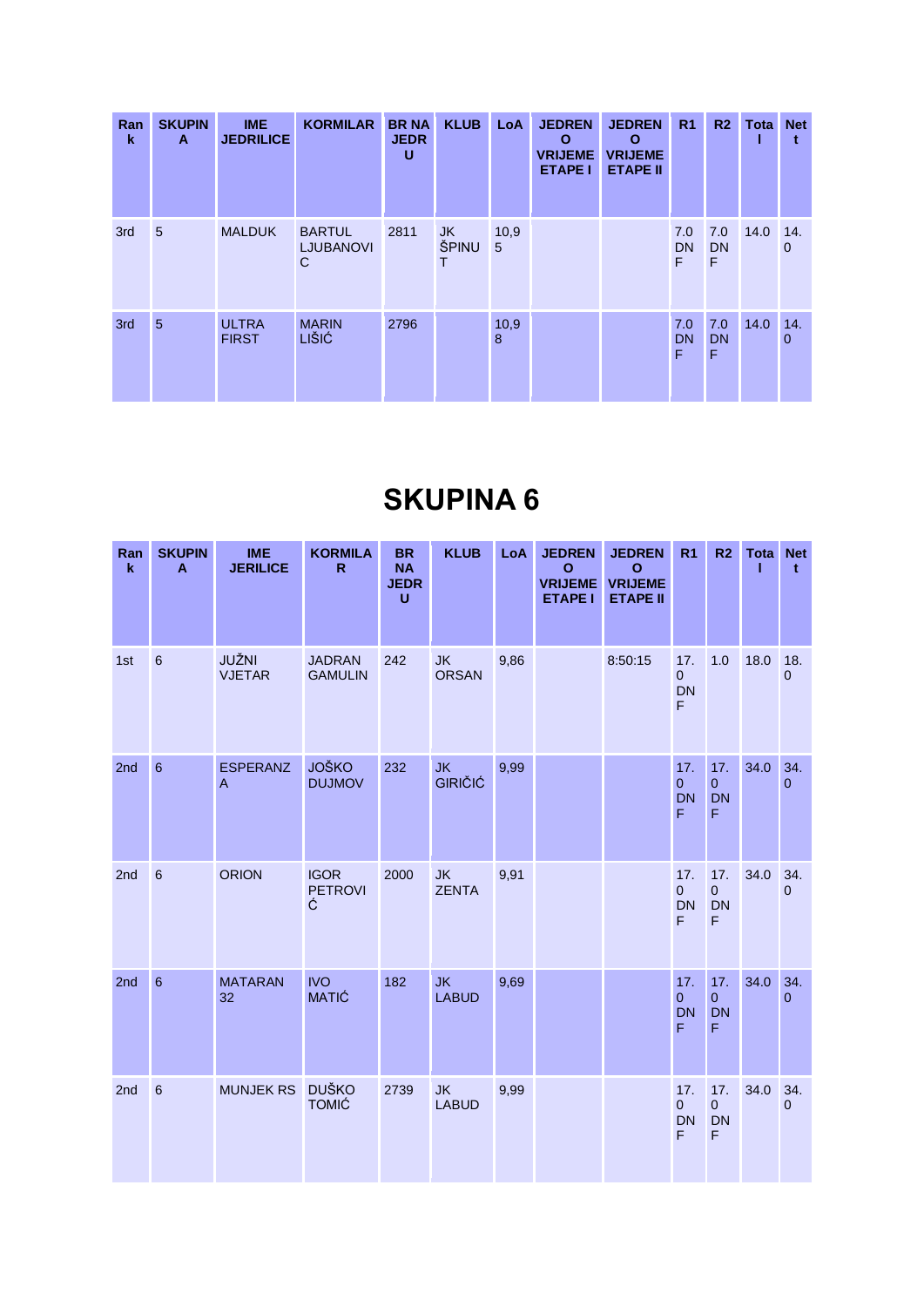| Ran<br>k | <b>SKUPIN</b><br>A | <b>IME</b><br><b>JEDRILICE</b> | <b>KORMILAR</b>                                   | <b>BR NA</b><br><b>JEDR</b><br>U | <b>KLUB</b>      | LoA       | <b>JEDREN</b><br>$\mathbf{o}$<br><b>VRIJEME</b><br><b>ETAPE I</b> | <b>JEDREN</b><br>$\mathbf{o}$<br><b>VRIJEME</b><br><b>ETAPE II</b> | R <sub>1</sub>        | R <sub>2</sub>        | Tota | <b>Net</b>          |
|----------|--------------------|--------------------------------|---------------------------------------------------|----------------------------------|------------------|-----------|-------------------------------------------------------------------|--------------------------------------------------------------------|-----------------------|-----------------------|------|---------------------|
| 3rd      | $5\overline{5}$    | <b>MALDUK</b>                  | <b>BARTUL</b><br><b>LJUBANOVI</b><br>$\mathsf{C}$ | 2811                             | JK<br>ŠPINU<br>Т | 10,9<br>5 |                                                                   |                                                                    | 7.0<br><b>DN</b><br>F | 7.0<br><b>DN</b><br>F | 14.0 | 14.<br>$\mathbf 0$  |
| 3rd      | $5\overline{5}$    | <b>ULTRA</b><br><b>FIRST</b>   | <b>MARIN</b><br><b>LIŠIĆ</b>                      | 2796                             |                  | 10,9<br>8 |                                                                   |                                                                    | 7.0<br><b>DN</b><br>F | 7.0<br><b>DN</b><br>F | 14.0 | 14.<br>$\mathbf{0}$ |

| Ran<br>$\bf k$ | <b>SKUPIN</b><br>$\mathbf{A}$ | <b>IME</b><br><b>JERILICE</b>     | <b>KORMILA</b><br>$\mathsf{R}$     | <b>BR</b><br><b>NA</b><br><b>JEDR</b><br>U | <b>KLUB</b>                 | LoA  | <b>JEDREN</b><br>$\mathbf{o}$<br><b>VRIJEME</b><br><b>ETAPE I</b> | <b>JEDREN</b><br>$\mathbf{o}$<br><b>VRIJEME</b><br><b>ETAPE II</b> | R <sub>1</sub>                          | R <sub>2</sub>                                    | <b>Tota</b> | <b>Net</b><br>$\mathbf{t}$ |
|----------------|-------------------------------|-----------------------------------|------------------------------------|--------------------------------------------|-----------------------------|------|-------------------------------------------------------------------|--------------------------------------------------------------------|-----------------------------------------|---------------------------------------------------|-------------|----------------------------|
| 1st            | $6\phantom{1}$                | JUŽNI<br><b>VJETAR</b>            | <b>JADRAN</b><br><b>GAMULIN</b>    | 242                                        | <b>JK</b><br><b>ORSAN</b>   | 9,86 |                                                                   | 8:50:15                                                            | 17.<br>$\mathbf{0}$<br><b>DN</b><br>F   | 1.0                                               | 18.0        | 18.<br>$\mathbf 0$         |
| 2nd            | $6\phantom{a}$                | <b>ESPERANZ</b><br>$\overline{A}$ | <b>JOŠKO</b><br><b>DUJMOV</b>      | 232                                        | <b>JK</b><br><b>GIRIČIĆ</b> | 9,99 |                                                                   |                                                                    | 17.<br>$\mathbf{0}$<br><b>DN</b><br>F   | 17.<br>$\overline{0}$<br><b>DN</b><br>$\mathsf F$ | 34.0        | 34.<br>$\Omega$            |
| 2nd            | $6\phantom{a}$                | <b>ORION</b>                      | <b>IGOR</b><br><b>PETROVI</b><br>Ć | 2000                                       | JK<br><b>ZENTA</b>          | 9,91 |                                                                   |                                                                    | 17.<br>$\overline{0}$<br><b>DN</b><br>F | 17.<br>$\overline{0}$<br><b>DN</b><br>F.          | 34.0        | 34.<br>$\mathbf{0}$        |
| 2nd            | $6\phantom{a}$                | <b>MATARAN</b><br>32              | <b>IVO</b><br><b>MATIĆ</b>         | 182                                        | <b>JK</b><br><b>LABUD</b>   | 9,69 |                                                                   |                                                                    | 17.<br>$\mathbf{0}$<br><b>DN</b><br>F   | 17.<br>$\mathbf{0}$<br><b>DN</b><br>F             | 34.0        | 34.<br>$\Omega$            |
| 2nd            | $6\phantom{a}$                | <b>MUNJEK RS</b>                  | <b>DUŠKO</b><br><b>TOMIĆ</b>       | 2739                                       | <b>JK</b><br><b>LABUD</b>   | 9,99 |                                                                   |                                                                    | 17.<br>$\overline{0}$<br><b>DN</b><br>F | 17.<br>$\overline{0}$<br><b>DN</b><br>F.          | 34.0        | 34.<br>$\mathbf 0$         |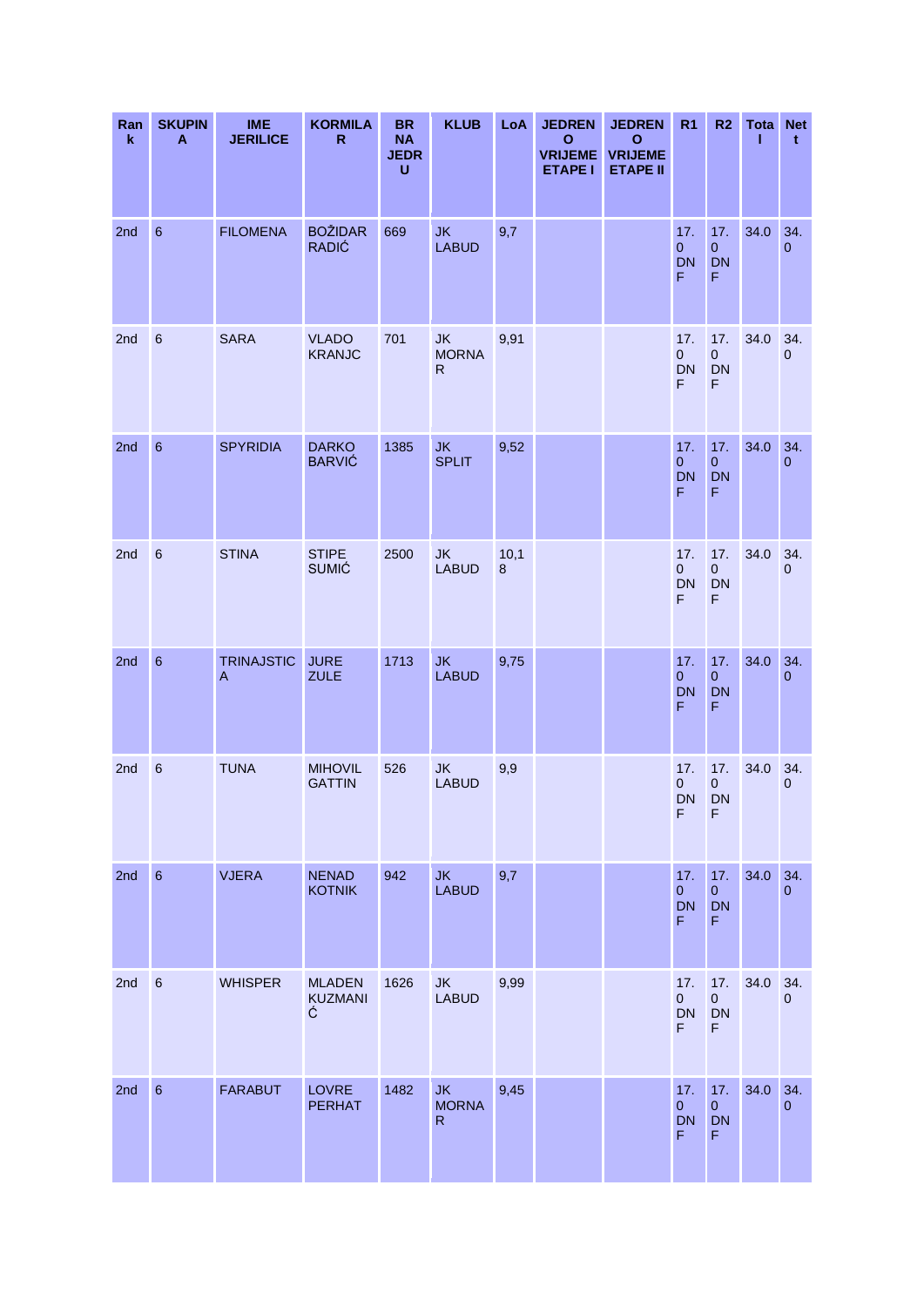| Ran<br>$\mathbf k$ | <b>SKUPIN</b><br>A | <b>IME</b><br><b>JERILICE</b>       | <b>KORMILA</b><br>$\mathsf{R}$       | <b>BR</b><br><b>NA</b><br><b>JEDR</b><br>U | <b>KLUB</b>                               | LoA       | <b>JEDREN</b><br>$\mathbf{o}$<br><b>VRIJEME</b><br><b>ETAPE I</b> | <b>JEDREN</b><br>$\mathbf{o}$<br><b>VRIJEME</b><br><b>ETAPE II</b> | R <sub>1</sub>                           | R <sub>2</sub>                                    | <b>Tota Net</b><br>ı | $\mathbf t$           |
|--------------------|--------------------|-------------------------------------|--------------------------------------|--------------------------------------------|-------------------------------------------|-----------|-------------------------------------------------------------------|--------------------------------------------------------------------|------------------------------------------|---------------------------------------------------|----------------------|-----------------------|
| 2nd                | $6\phantom{1}$     | <b>FILOMENA</b>                     | <b>BOŽIDAR</b><br><b>RADIĆ</b>       | 669                                        | <b>JK</b><br><b>LABUD</b>                 | 9,7       |                                                                   |                                                                    | 17.<br>$\mathbf{0}$<br>DN<br>F.          | 17.<br>$\mathbf{0}$<br><b>DN</b><br>$\mathsf F$   | 34.0                 | 34.<br>$\overline{0}$ |
| 2nd                | $6\phantom{1}6$    | <b>SARA</b>                         | <b>VLADO</b><br><b>KRANJC</b>        | 701                                        | <b>JK</b><br><b>MORNA</b><br>$\mathsf{R}$ | 9,91      |                                                                   |                                                                    | 17.<br>$\mathbf{0}$<br><b>DN</b><br>F    | 17.<br>$\mathbf{0}$<br><b>DN</b><br>F             | 34.0                 | 34.<br>$\mathbf{0}$   |
| 2nd                | $6\phantom{1}6$    | <b>SPYRIDIA</b>                     | <b>DARKO</b><br><b>BARVIĆ</b>        | 1385                                       | <b>JK</b><br><b>SPLIT</b>                 | 9,52      |                                                                   |                                                                    | 17.<br>$\pmb{0}$<br><b>DN</b><br>F       | 17.<br>$\pmb{0}$<br><b>DN</b><br>$\mathsf F$      | 34.0                 | 34.<br>$\overline{0}$ |
| 2nd                | $6\phantom{1}6$    | <b>STINA</b>                        | <b>STIPE</b><br><b>SUMIĆ</b>         | 2500                                       | <b>JK</b><br><b>LABUD</b>                 | 10,1<br>8 |                                                                   |                                                                    | 17.<br>$\overline{0}$<br><b>DN</b><br>F  | 17.<br>$\mathbf{0}$<br><b>DN</b><br>F             | 34.0                 | 34.<br>$\overline{0}$ |
| 2nd                | $6\phantom{1}6$    | <b>TRINAJSTIC</b><br>$\overline{A}$ | <b>JURE</b><br><b>ZULE</b>           | 1713                                       | <b>JK</b><br><b>LABUD</b>                 | 9,75      |                                                                   |                                                                    | 17.<br>$\pmb{0}$<br><b>DN</b><br>F       | 17.<br>$\mathbf{0}$<br><b>DN</b><br>F             | 34.0                 | 34.<br>$\overline{0}$ |
| 2nd                | $6\phantom{1}6$    | <b>TUNA</b>                         | <b>MIHOVIL</b><br><b>GATTIN</b>      | 526                                        | <b>JK</b><br><b>LABUD</b>                 | 9,9       |                                                                   |                                                                    | 17.<br>$\mathbf{0}$<br><b>DN</b><br>F    | 17.<br>$\mathbf{0}$<br><b>DN</b><br>F             | 34.0                 | 34.<br>$\overline{0}$ |
| 2nd                | $6\phantom{a}$     | <b>VJERA</b>                        | <b>NENAD</b><br><b>KOTNIK</b>        | 942                                        | <b>JK</b><br><b>LABUD</b>                 | 9,7       |                                                                   |                                                                    | 17.<br>$\overline{0}$<br><b>DN</b><br>F. | 17.<br>$\overline{0}$<br><b>DN</b><br>F           | 34.0                 | 34.<br>$\overline{0}$ |
| 2nd                | $\,6\,$            | <b>WHISPER</b>                      | <b>MLADEN</b><br><b>KUZMANI</b><br>Ć | 1626                                       | <b>JK</b><br><b>LABUD</b>                 | 9,99      |                                                                   |                                                                    | 17.<br>$\overline{0}$<br>DN<br>F.        | 17.<br>$\overline{0}$<br><b>DN</b><br>F           | 34.0                 | 34.<br>$\overline{0}$ |
| 2nd                | $6\phantom{1}6$    | <b>FARABUT</b>                      | <b>LOVRE</b><br><b>PERHAT</b>        | 1482                                       | <b>JK</b><br><b>MORNA</b><br>$\mathsf{R}$ | 9,45      |                                                                   |                                                                    | 17.<br>$\overline{0}$<br><b>DN</b><br>F. | 17.<br>$\overline{0}$<br><b>DN</b><br>$\mathsf F$ | 34.0                 | 34.<br>$\overline{0}$ |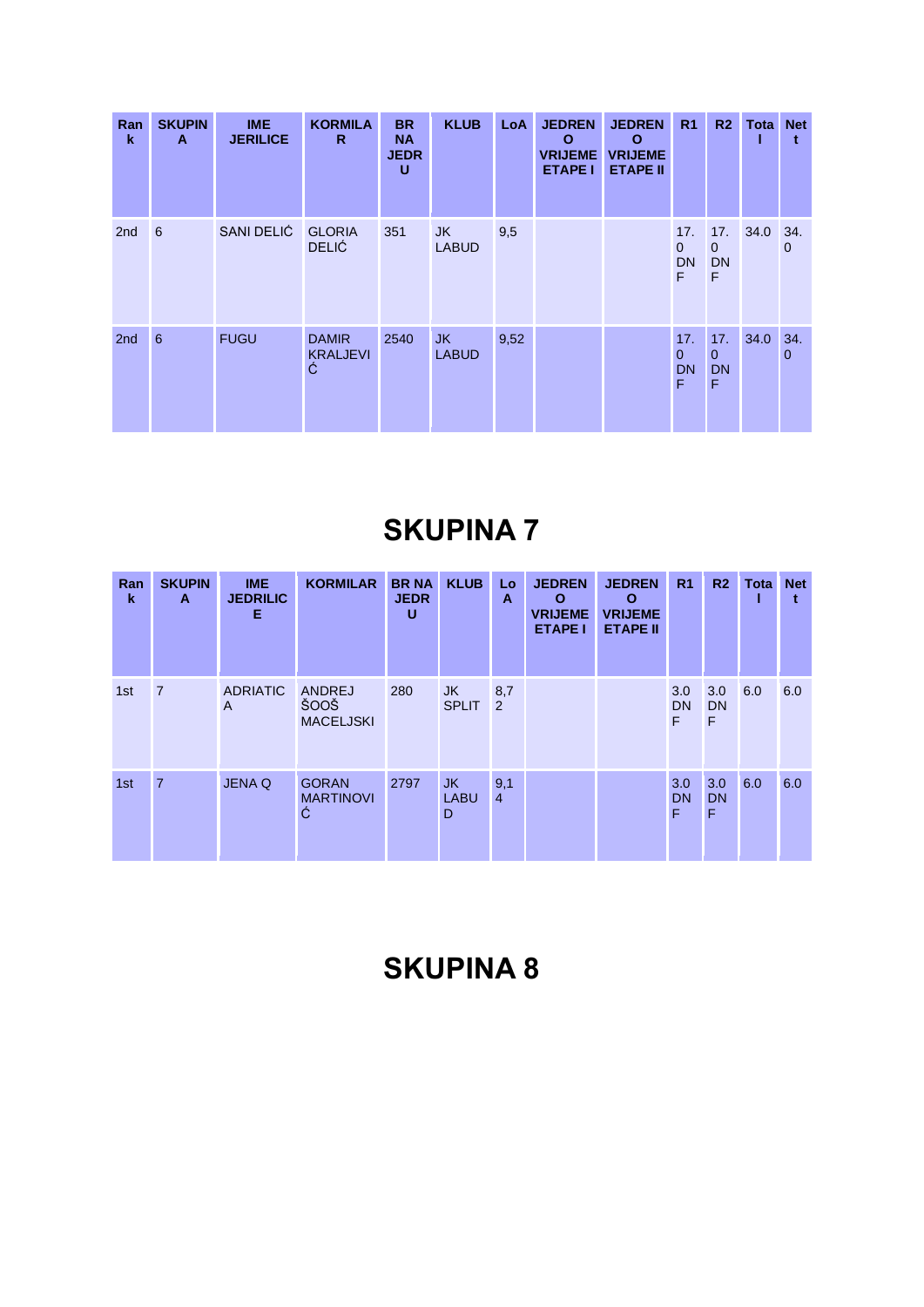| Ran<br>$\mathbf k$ | <b>SKUPIN</b><br>A | <b>IME</b><br><b>JERILICE</b> | <b>KORMILA</b><br>R.                 | <b>BR</b><br><b>NA</b><br><b>JEDR</b><br>U | <b>KLUB</b>         | LoA  | <b>JEDREN</b><br>$\Omega$<br><b>VRIJEME</b><br><b>ETAPE I</b> | <b>JEDREN</b><br>$\mathbf{o}$<br><b>VRIJEME</b><br><b>ETAPE II</b> | R <sub>1</sub>                        | R2                                    | <b>Tota Net</b> |                     |
|--------------------|--------------------|-------------------------------|--------------------------------------|--------------------------------------------|---------------------|------|---------------------------------------------------------------|--------------------------------------------------------------------|---------------------------------------|---------------------------------------|-----------------|---------------------|
| 2 <sub>nd</sub>    | 6                  | SANI DELIĆ                    | <b>GLORIA</b><br><b>DELIĆ</b>        | 351                                        | JK.<br><b>LABUD</b> | 9,5  |                                                               |                                                                    | 17.<br>$\mathbf{0}$<br><b>DN</b><br>F | 17.<br>$\mathbf{0}$<br><b>DN</b><br>F | 34.0 34.        | $\mathbf 0$         |
| 2nd                | 6                  | <b>FUGU</b>                   | <b>DAMIR</b><br><b>KRALJEVI</b><br>Ć | 2540                                       | JK.<br><b>LABUD</b> | 9,52 |                                                               |                                                                    | 17.<br>$\mathbf{0}$<br><b>DN</b><br>F | 17.<br>$\Omega$<br><b>DN</b><br>F     | 34.0            | 34.<br>$\mathbf{0}$ |

| Ran<br>$\mathbf k$ | <b>SKUPIN</b><br>A | <b>IME</b><br><b>JEDRILIC</b><br>Е | <b>KORMILAR</b>                       | <b>BRNA</b><br><b>JEDR</b><br>U | <b>KLUB</b>            | Lo<br>A               | <b>JEDREN</b><br>O<br><b>VRIJEME</b><br><b>ETAPE I</b> | <b>JEDREN</b><br>$\mathbf{o}$<br><b>VRIJEME</b><br><b>ETAPE II</b> | R <sub>1</sub>        | R <sub>2</sub>        | <b>Tota</b> | <b>Net</b> |
|--------------------|--------------------|------------------------------------|---------------------------------------|---------------------------------|------------------------|-----------------------|--------------------------------------------------------|--------------------------------------------------------------------|-----------------------|-----------------------|-------------|------------|
| 1st                | $\overline{7}$     | <b>ADRIATIC</b><br>A               | ANDREJ<br>ŠOOŠ<br><b>MACELJSKI</b>    | 280                             | JK<br><b>SPLIT</b>     | 8,7<br>2              |                                                        |                                                                    | 3.0<br><b>DN</b><br>F | 3.0<br><b>DN</b><br>F | 6.0         | 6.0        |
| 1st                | $\overline{7}$     | <b>JENA Q</b>                      | <b>GORAN</b><br><b>MARTINOVI</b><br>Ć | 2797                            | JK<br><b>LABU</b><br>D | 9,1<br>$\overline{4}$ |                                                        |                                                                    | 3.0<br><b>DN</b><br>F | 3.0<br><b>DN</b><br>F | 6.0         | 6.0        |